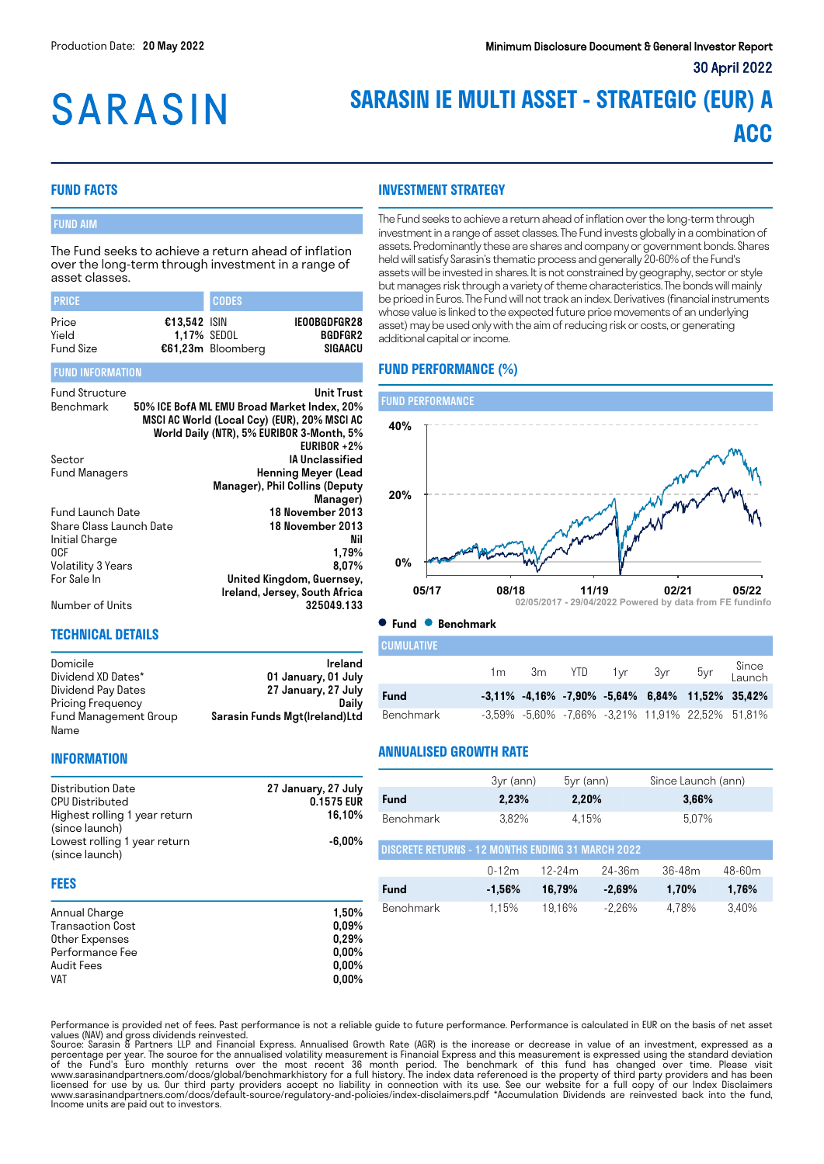# **SARASIN**

### **SARASIN IE MULTI ASSET - STRATEGIC (EUR) A ACC**

#### **FUND FACTS**

#### FUND AIM

The Fund seeks to achieve a return ahead of inflation over the long-term through investment in a range of asset classes.

| <b>PRICE</b>                       |                                      | <b>CODES</b>      |                                    |
|------------------------------------|--------------------------------------|-------------------|------------------------------------|
| Price<br>Yield<br><b>Fund Size</b> | $£13.542$ ISIN<br><b>1.17% SEDOL</b> | €61,23m Bloomberg | IEOOBGDFGR28<br>BGDFGR2<br>SIGAACU |

#### FUND INFORMATION

| <b>Fund Structure</b>   | Unit Trust                                   |
|-------------------------|----------------------------------------------|
| Benchmark               | 50% ICE BofA ML EMU Broad Market Index, 20%  |
|                         | MSCI AC World (Local Ccy) (EUR), 20% MSCI AC |
|                         | World Daily (NTR), 5% EURIBOR 3-Month, 5%    |
|                         | EURIBOR $+2\%$                               |
| Sector                  | <b>IA Unclassified</b>                       |
| Fund Managers           | <b>Henning Meyer (Lead</b>                   |
|                         | Manager), Phil Collins (Deputy               |
|                         | Manager)                                     |
| Fund Launch Date        | 18 November 2013                             |
| Share Class Launch Date | 18 November 2013                             |
| Initial Charge          | Nil                                          |
| 0CF                     | 1,79%                                        |
| Volatility 3 Years      | 8.07%                                        |
| For Sale In             | United Kingdom, Guernsey,                    |
|                         | Ireland, Jersey, South Africa                |
| Number of Units         | 325049.133                                   |

**INFORMATION**

#### **TECHNICAL DETAILS**

| Domicile              | Ireland                       |
|-----------------------|-------------------------------|
| Dividend XD Dates*    | 01 January, 01 July           |
| Dividend Pay Dates    | 27 January, 27 July           |
| Pricing Frequency     | Dailv                         |
| Fund Management Group | Sarasin Funds Mgt(Ireland)Ltd |
| Name                  |                               |

#### **INVESTMENT STRATEGY**

The Fund seeks to achieve a return ahead of inflation over the long-term through investment in a range of asset classes. The Fund invests globally in a combination of assets. Predominantly these are shares and company or government bonds. Shares held will satisfy Sarasin's thematic process and generally 20-60% of the Fund's assets will be invested in shares. It is not constrained by geography, sector or style but manages risk through a variety of theme characteristics. The bonds will mainly be priced in Euros. The Fund will not track an index. Derivatives (financial instruments whose value is linked to the expected future price movements of an underlying asset) may be used only with the aim of reducing risk or costs, or generating additional capital or income.

#### **FUND PERFORMANCE (%)**



**Fund Benchmark**

| <b>CUMULATIVE</b> |    |  |                |                                                             |                     |
|-------------------|----|--|----------------|-------------------------------------------------------------|---------------------|
|                   | 1m |  | 3m YTD 1yr 3yr |                                                             | 5yr Since<br>Launch |
| <b>Fund</b>       |    |  |                | $-3.11\%$ $-4.16\%$ $-7.90\%$ $-5.64\%$ 6.84% 11.52% 35.42% |                     |
| Benchmark         |    |  |                | -3,59% -5,60% -7,66% -3,21% 11,91% 22,52% 51,81%            |                     |

#### **ANNUALISED GROWTH RATE**

| <b>Distribution Date</b>                                                                           | 27 January, 27 July<br>0.1575 EUR<br>16,10%                    |                                                   | 3yr (ann) | $5yr$ (ann) |          | Since Launch (ann) |        |  |
|----------------------------------------------------------------------------------------------------|----------------------------------------------------------------|---------------------------------------------------|-----------|-------------|----------|--------------------|--------|--|
| <b>CPU Distributed</b>                                                                             |                                                                | <b>Fund</b>                                       | 2,23%     | 2,20%       |          | 3,66%              |        |  |
| Highest rolling 1 year return<br>(since launch)                                                    |                                                                | Benchmark                                         | 3.82%     | 4.15%       |          | 5.07%              |        |  |
| Lowest rolling 1 year return<br>(since launch)                                                     | $-6,00\%$                                                      | DISCRETE RETURNS - 12 MONTHS ENDING 31 MARCH 2022 |           |             |          |                    |        |  |
| <b>FEES</b>                                                                                        |                                                                |                                                   | $0 - 12m$ | $12 - 24m$  | 24-36m   | $36 - 48m$         | 48-60m |  |
|                                                                                                    |                                                                | Fund                                              | $-1,56%$  | 16,79%      | $-2,69%$ | 1,70%              | 1,76%  |  |
| Annual Charge<br>Transaction Cost<br>Other Expenses<br>Performance Fee<br>Audit Fees<br><b>VAT</b> | 1,50%<br>$0.09\%$<br>0,29%<br>$0,00\%$<br>$0.00\%$<br>$0,00\%$ | Benchmark                                         | 1.15%     | 19.16%      | $-2.26%$ | 4.78%              | 3,40%  |  |

Performance is provided net of fees. Past performance is not a reliable guide to future performance. Performance is calculated in EUR on the basis of net asset values (NAV) and gross dividends reinvested.<br>Source: Sarasin & Partners LLP and Financial Express. Annualised Growth Rate (AGR) is the increase or decrease in value of an investment, expressed as a

percentage per year. The source for the annualised volatility measurement is Financial Express and this measurement is expressed using the standard deviation of the Fund's Euro monthly returns over the most recent 36 month period. The benchmark of this fund has changed over time. Please visit<br>www.sarasinandpartners.com/docs/global/benchmarkhistory for a full history.The index d Income units are paid out to investors.